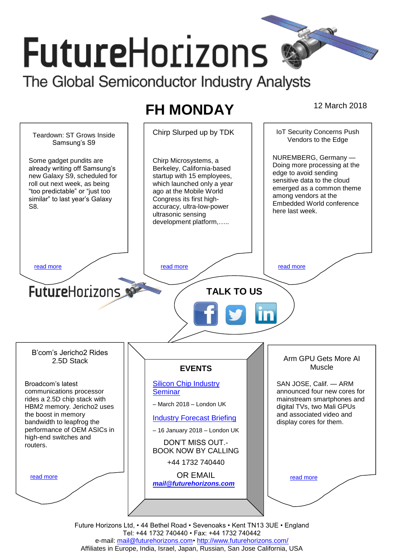# **FutureHorizons** The Global Semiconductor Industry Analysts

# **FH MONDAY** 12 March 2018



Tel: +44 1732 740440 • Fax: +44 1732 740442 e-mail: mail@futurehorizons.com• http://www.futurehorizons.com/ Affiliates in Europe, India, Israel, Japan, Russian, San Jose California, USA